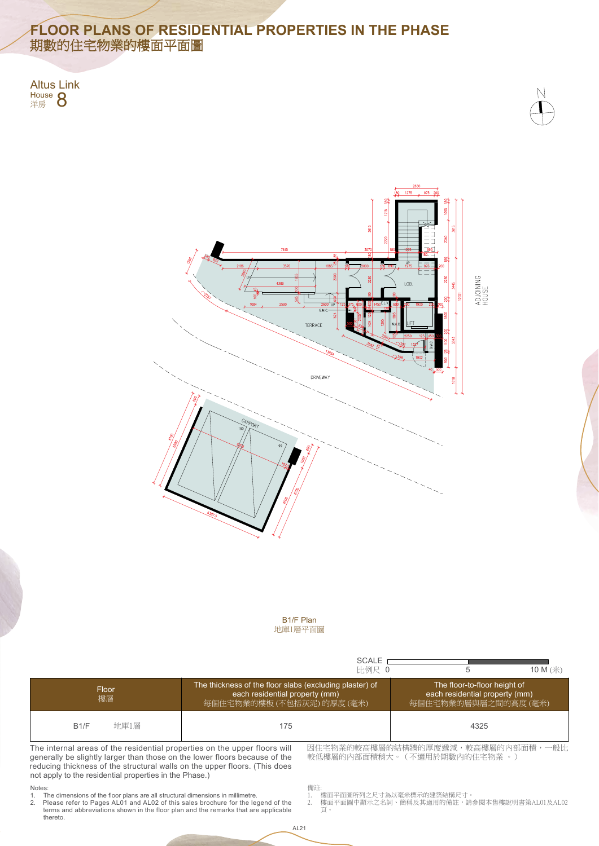

### Notes:

Please refer to Pages AL01 and AL02 of this sales brochure for the legend of the 2. 樓面平面圖中顯示之名詞、簡稱及其適用的備註,請參閱本售樓說明書第AL01及AL02 頁。

# **FLOOR PLANS OF RESIDENTIAL PROPERTIES IN THE PHASE** 期數的住宅物業的樓面平面圖

Altus Link House **O** 





- 1. The dimensions of the floor plans are all structural dimensions in millimetre.
- 2. Please refer to Pages AL01 and AL02 of this sales brochure for the legend of the thereto. terms and abbreviations shown in the floor plan and the remarks that are applicable

The internal areas of the residential properties on the upper floors will generally be slightly larger than those on the lower floors because of the reducing thickness of the structural walls on the upper floors. (This does not apply to the residential properties in the Phase.)

|                                                                           | <b>SCALE</b><br>比例尺 0                                                                                                   | 10 M (米)                                                                              |  |
|---------------------------------------------------------------------------|-------------------------------------------------------------------------------------------------------------------------|---------------------------------------------------------------------------------------|--|
| Floor<br>樓層                                                               | The thickness of the floor slabs (excluding plaster) of<br>each residential property (mm)<br>每個住宅物業的樓板 (不包括灰泥) 的厚度 (毫米) | The floor-to-floor height of<br>each residential property (mm)<br>每個住宅物業的層與層之間的高度(毫米) |  |
| 地庫1層<br>B1/F                                                              | 175                                                                                                                     | 4325                                                                                  |  |
| The internal areas of the residential properties on the upper floors will |                                                                                                                         | 因住宅物業的較高樓層的結構牆的厚度遞減,較高樓層的內部面積,一般比                                                     |  |

備註:

1. 樓面平面圖所列之尺寸為以毫米標示的建築結構尺寸。

較低樓層的內部面積稍大。(不適用於期數內的住宅物業 。)

地庫1層平面圖 B1/F Plan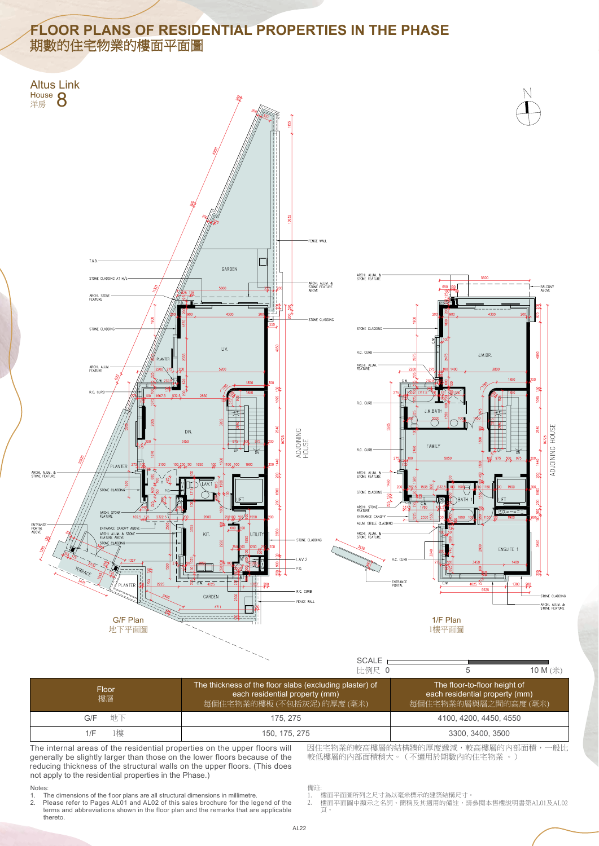#### Notes:

## **FLOOR PLANS OF RESIDENTIAL PROPERTIES IN THE PHASE** 期數的住宅物業的樓面平面圖

- 1. The dimensions of the floor plans are all structural dimensions in millimetre.
- thereto. terms and abbreviations shown in the floor plan and the remarks that are applicable

The internal areas of the residential properties on the upper floors will generally be slightly larger than those on the lower floors because of the reducing thickness of the structural walls on the upper floors. (This does not apply to the residential properties in the Phase.)

|             | SCALE <sub>1</sub><br>比例尺 0                                                                                             | 10 M (米)                                                                               |  |
|-------------|-------------------------------------------------------------------------------------------------------------------------|----------------------------------------------------------------------------------------|--|
| Floor<br>樓層 | The thickness of the floor slabs (excluding plaster) of<br>each residential property (mm)<br>每個住宅物業的樓板 (不包括灰泥) 的厚度 (毫米) | The floor-to-floor height of<br>each residential property (mm)<br>每個住宅物業的層與層之間的高度 (毫米) |  |
| 地下<br>G/F   | 175, 275                                                                                                                | 4100, 4200, 4450, 4550                                                                 |  |
| 榑<br>1/F    | 150, 175, 275                                                                                                           | 3300, 3400, 3500                                                                       |  |

備註:

- 1. 樓面平面圖所列之尺寸為以毫米標示的建築結構尺寸。
- 2. Please refer to Pages AL01 and AL02 of this sales brochure for the legend of the 2. 樓面平面圖中顯示之名詞丶簡稱及其適用的備註,請參閱本售樓說明書第AL01及AL02 2. 樓面平面圖中顯示之名詞、簡稱及其適用的備註,請參閱本售樓說明書第AL01及AL02 頁。

較低樓層的內部面積稍大。(不適用於期數內的住宅物業 。)



AL22

因住宅物業的較高樓層的結構牆的厚度遞減,較高樓層的內部面積,一般比